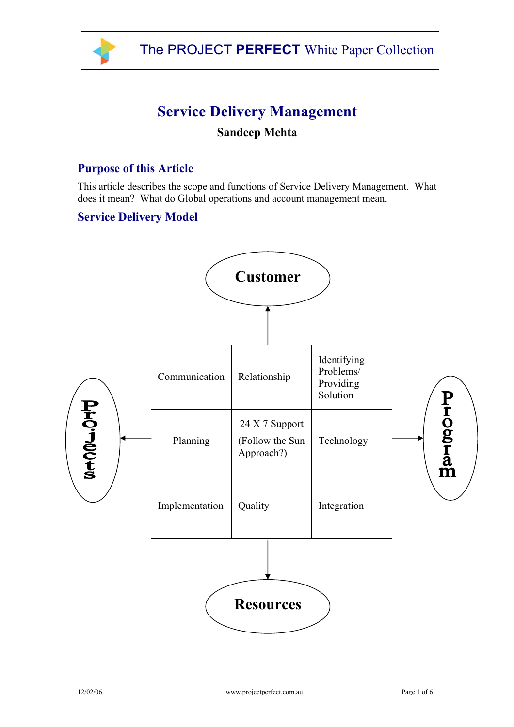

# **Service Delivery Management**

# **Sandeep Mehta**

## **Purpose of this Article**

This article describes the scope and functions of Service Delivery Management. What does it mean? What do Global operations and account management mean.

#### **Service Delivery Model**

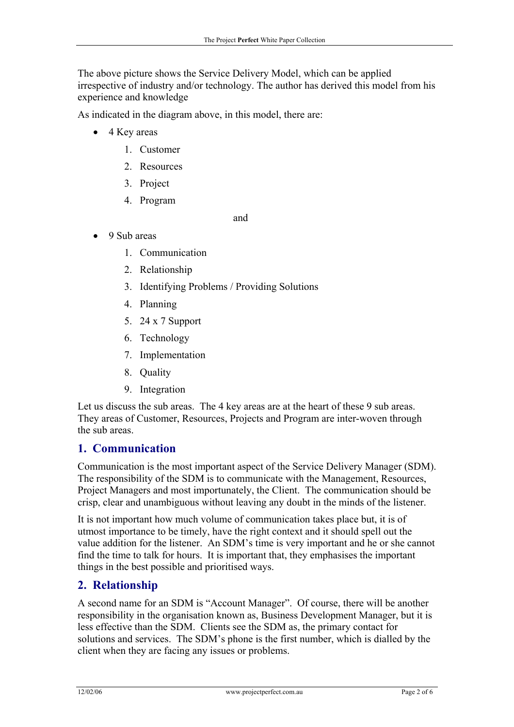The above picture shows the Service Delivery Model, which can be applied irrespective of industry and/or technology. The author has derived this model from his experience and knowledge

As indicated in the diagram above, in this model, there are:

- 4 Key areas
	- 1. Customer
	- 2. Resources
	- 3. Project
	- 4. Program

and

- 9 Sub areas
	- 1. Communication
	- 2. Relationship
	- 3. Identifying Problems / Providing Solutions
	- 4. Planning
	- 5. 24 x 7 Support
	- 6. Technology
	- 7. Implementation
	- 8. Quality
	- 9. Integration

Let us discuss the sub areas. The 4 key areas are at the heart of these 9 sub areas. They areas of Customer, Resources, Projects and Program are inter-woven through the sub areas.

#### **1. Communication**

Communication is the most important aspect of the Service Delivery Manager (SDM). The responsibility of the SDM is to communicate with the Management, Resources, Project Managers and most importunately, the Client. The communication should be crisp, clear and unambiguous without leaving any doubt in the minds of the listener.

It is not important how much volume of communication takes place but, it is of utmost importance to be timely, have the right context and it should spell out the value addition for the listener. An SDM's time is very important and he or she cannot find the time to talk for hours. It is important that, they emphasises the important things in the best possible and prioritised ways.

## **2. Relationship**

A second name for an SDM is "Account Manager". Of course, there will be another responsibility in the organisation known as, Business Development Manager, but it is less effective than the SDM. Clients see the SDM as, the primary contact for solutions and services. The SDM's phone is the first number, which is dialled by the client when they are facing any issues or problems.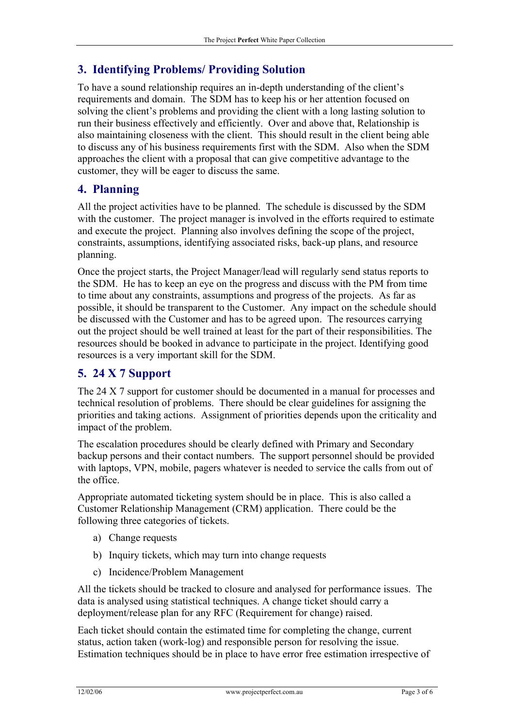# **3. Identifying Problems/ Providing Solution**

To have a sound relationship requires an in-depth understanding of the client's requirements and domain. The SDM has to keep his or her attention focused on solving the client's problems and providing the client with a long lasting solution to run their business effectively and efficiently. Over and above that, Relationship is also maintaining closeness with the client. This should result in the client being able to discuss any of his business requirements first with the SDM. Also when the SDM approaches the client with a proposal that can give competitive advantage to the customer, they will be eager to discuss the same.

## **4. Planning**

All the project activities have to be planned. The schedule is discussed by the SDM with the customer. The project manager is involved in the efforts required to estimate and execute the project. Planning also involves defining the scope of the project, constraints, assumptions, identifying associated risks, back-up plans, and resource planning.

Once the project starts, the Project Manager/lead will regularly send status reports to the SDM. He has to keep an eye on the progress and discuss with the PM from time to time about any constraints, assumptions and progress of the projects. As far as possible, it should be transparent to the Customer. Any impact on the schedule should be discussed with the Customer and has to be agreed upon. The resources carrying out the project should be well trained at least for the part of their responsibilities. The resources should be booked in advance to participate in the project. Identifying good resources is a very important skill for the SDM.

# **5. 24 X 7 Support**

The 24 X 7 support for customer should be documented in a manual for processes and technical resolution of problems. There should be clear guidelines for assigning the priorities and taking actions. Assignment of priorities depends upon the criticality and impact of the problem.

The escalation procedures should be clearly defined with Primary and Secondary backup persons and their contact numbers. The support personnel should be provided with laptops, VPN, mobile, pagers whatever is needed to service the calls from out of the office.

Appropriate automated ticketing system should be in place. This is also called a Customer Relationship Management (CRM) application. There could be the following three categories of tickets.

- a) Change requests
- b) Inquiry tickets, which may turn into change requests
- c) Incidence/Problem Management

All the tickets should be tracked to closure and analysed for performance issues. The data is analysed using statistical techniques. A change ticket should carry a deployment/release plan for any RFC (Requirement for change) raised.

Each ticket should contain the estimated time for completing the change, current status, action taken (work-log) and responsible person for resolving the issue. Estimation techniques should be in place to have error free estimation irrespective of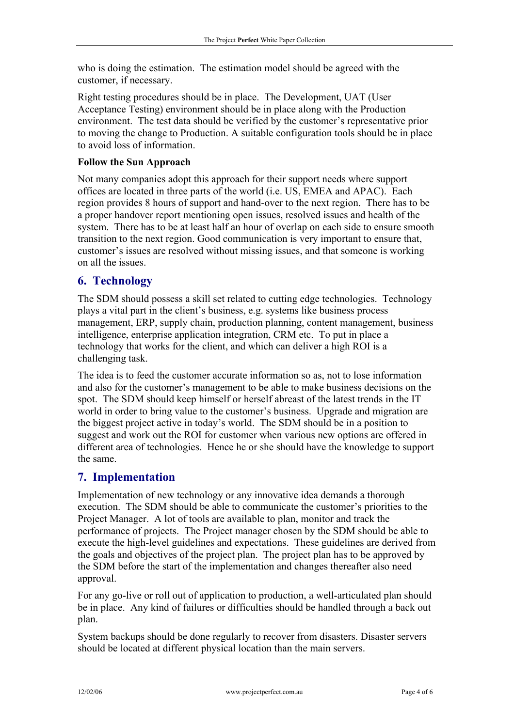who is doing the estimation. The estimation model should be agreed with the customer, if necessary.

Right testing procedures should be in place. The Development, UAT (User Acceptance Testing) environment should be in place along with the Production environment. The test data should be verified by the customer's representative prior to moving the change to Production. A suitable configuration tools should be in place to avoid loss of information.

#### **Follow the Sun Approach**

Not many companies adopt this approach for their support needs where support offices are located in three parts of the world (i.e. US, EMEA and APAC). Each region provides 8 hours of support and hand-over to the next region. There has to be a proper handover report mentioning open issues, resolved issues and health of the system. There has to be at least half an hour of overlap on each side to ensure smooth transition to the next region. Good communication is very important to ensure that, customer's issues are resolved without missing issues, and that someone is working on all the issues.

## **6. Technology**

The SDM should possess a skill set related to cutting edge technologies. Technology plays a vital part in the client's business, e.g. systems like business process management, ERP, supply chain, production planning, content management, business intelligence, enterprise application integration, CRM etc. To put in place a technology that works for the client, and which can deliver a high ROI is a challenging task.

The idea is to feed the customer accurate information so as, not to lose information and also for the customer's management to be able to make business decisions on the spot. The SDM should keep himself or herself abreast of the latest trends in the IT world in order to bring value to the customer's business. Upgrade and migration are the biggest project active in today's world. The SDM should be in a position to suggest and work out the ROI for customer when various new options are offered in different area of technologies. Hence he or she should have the knowledge to support the same.

## **7. Implementation**

Implementation of new technology or any innovative idea demands a thorough execution. The SDM should be able to communicate the customer's priorities to the Project Manager. A lot of tools are available to plan, monitor and track the performance of projects. The Project manager chosen by the SDM should be able to execute the high-level guidelines and expectations. These guidelines are derived from the goals and objectives of the project plan. The project plan has to be approved by the SDM before the start of the implementation and changes thereafter also need approval.

For any go-live or roll out of application to production, a well-articulated plan should be in place. Any kind of failures or difficulties should be handled through a back out plan.

System backups should be done regularly to recover from disasters. Disaster servers should be located at different physical location than the main servers.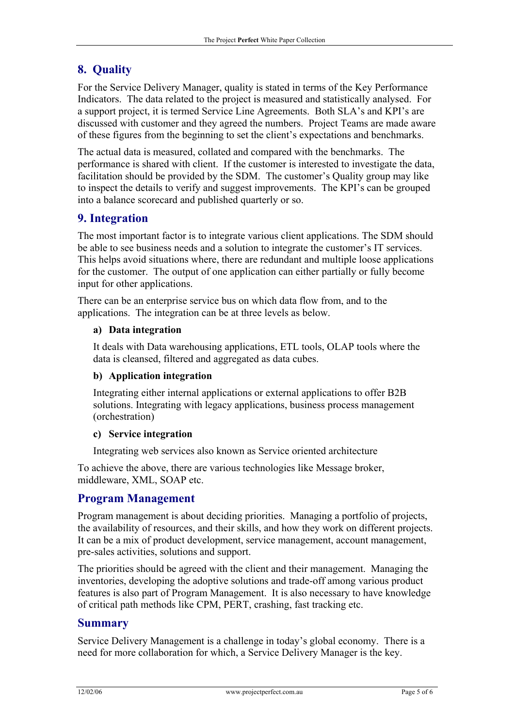# **8. Quality**

For the Service Delivery Manager, quality is stated in terms of the Key Performance Indicators. The data related to the project is measured and statistically analysed. For a support project, it is termed Service Line Agreements. Both SLA's and KPI's are discussed with customer and they agreed the numbers. Project Teams are made aware of these figures from the beginning to set the client's expectations and benchmarks.

The actual data is measured, collated and compared with the benchmarks. The performance is shared with client. If the customer is interested to investigate the data, facilitation should be provided by the SDM. The customer's Quality group may like to inspect the details to verify and suggest improvements. The KPI's can be grouped into a balance scorecard and published quarterly or so.

## **9. Integration**

The most important factor is to integrate various client applications. The SDM should be able to see business needs and a solution to integrate the customer's IT services. This helps avoid situations where, there are redundant and multiple loose applications for the customer. The output of one application can either partially or fully become input for other applications.

There can be an enterprise service bus on which data flow from, and to the applications. The integration can be at three levels as below.

#### **a) Data integration**

It deals with Data warehousing applications, ETL tools, OLAP tools where the data is cleansed, filtered and aggregated as data cubes.

#### **b) Application integration**

Integrating either internal applications or external applications to offer B2B solutions. Integrating with legacy applications, business process management (orchestration)

#### **c) Service integration**

Integrating web services also known as Service oriented architecture

To achieve the above, there are various technologies like Message broker, middleware, XML, SOAP etc.

#### **Program Management**

Program management is about deciding priorities. Managing a portfolio of projects, the availability of resources, and their skills, and how they work on different projects. It can be a mix of product development, service management, account management, pre-sales activities, solutions and support.

The priorities should be agreed with the client and their management. Managing the inventories, developing the adoptive solutions and trade-off among various product features is also part of Program Management. It is also necessary to have knowledge of critical path methods like CPM, PERT, crashing, fast tracking etc.

#### **Summary**

Service Delivery Management is a challenge in today's global economy. There is a need for more collaboration for which, a Service Delivery Manager is the key.